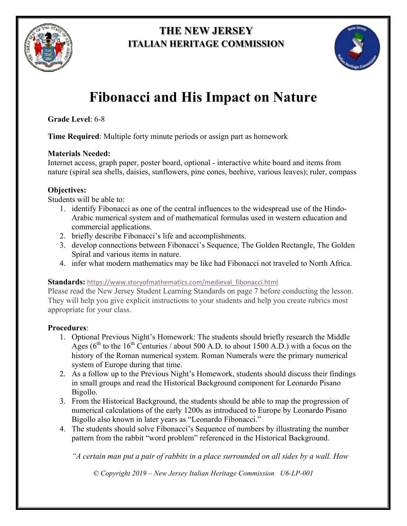

# **THE NEW JERSEY ITALIAN HERITAGE COMMISSION**



# **Fibonacci and His Impact on Nature**

**Grade Level**: 6-8

**Time Required**: Multiple forty minute periods or assign part as homework

### **Materials Needed:**

Internet access, graph paper, poster board, optional - interactive white board and items from nature (spiral sea shells, daisies, sunflowers, pine cones, beehive, various leaves); ruler, compass

# **Objectives:**

Students will be able to:

- 1. identify Fibonacci as one of the central influences to the widespread use of the Hindo-Arabic numerical system and of mathematical formulas used in western education and commercial applications.
- 2. briefly describe Fibonacci's life and accomplishments.
- 3. develop connections between Fibonacci's Sequence, The Golden Rectangle, The Golden Spiral and various items in nature.
- 4. infer what modern mathematics may be like had Fibonacci not traveled to North Africa.

# **Standards:** https://www.storyofmathematics.com/medieval\_fibonacci.html

Please read the New Jersey Student Learning Standards on page 7 before conducting the lesson. They will help you give explicit instructions to your students and help you create rubrics most appropriate for your class.

# **Procedures**:

- 1. Optional Previous Night's Homework: The students should briefly research the Middle Ages ( $6<sup>th</sup>$  to the 16<sup>th</sup> Centuries / about 500 A.D. to about 1500 A.D.) with a focus on the history of the Roman numerical system. Roman Numerals were the primary numerical system of Europe during that time.
- 2. As a follow up to the Previous Night's Homework, students should discuss their findings in small groups and read the Historical Background component for Leonardo Pisano Bigollo.
- 3. From the Historical Background, the students should be able to map the progression of numerical calculations of the early 1200s as introduced to Europe by Leonardo Pisano Bigollo also known in later years as "Leonardo Fibonacci."
- 4. The students should solve Fibonacci's Sequence of numbers by illustrating the number pattern from the rabbit "word problem" referenced in the Historical Background.

*"A certain man put a pair of rabbits in a place surrounded on all sides by a wall. How*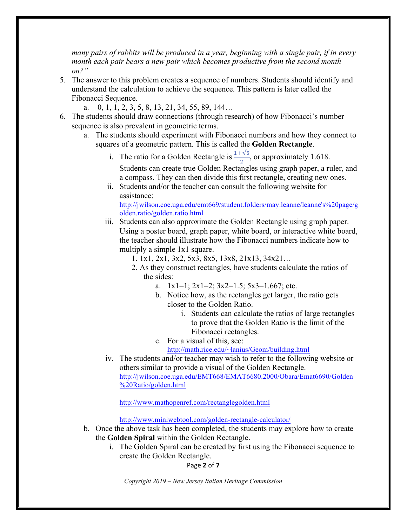*many pairs of rabbits will be produced in a year, beginning with a single pair, if in every month each pair bears a new pair which becomes productive from the second month on?"*

- 5. The answer to this problem creates a sequence of numbers. Students should identify and understand the calculation to achieve the sequence. This pattern is later called the Fibonacci Sequence.
	- a. 0, 1, 1, 2, 3, 5, 8, 13, 21, 34, 55, 89, 144…
- 6. The students should draw connections (through research) of how Fibonacci's number sequence is also prevalent in geometric terms.
	- a. The students should experiment with Fibonacci numbers and how they connect to squares of a geometric pattern. This is called the **Golden Rectangle**.
		- i. The ratio for a Golden Rectangle is  $\frac{1+\sqrt{5}}{2}$ , or approximately 1.618.

Students can create true Golden Rectangles using graph paper, a ruler, and a compass. They can then divide this first rectangle, creating new ones.

ii. Students and/or the teacher can consult the following website for assistance: http://jwilson.coe.uga.edu/emt669/student.folders/may.leanne/leanne's%20page/g

olden.ratio/golden.ratio.html

iii. Students can also approximate the Golden Rectangle using graph paper. Using a poster board, graph paper, white board, or interactive white board, the teacher should illustrate how the Fibonacci numbers indicate how to multiply a simple 1x1 square.

1. 1x1, 2x1, 3x2, 5x3, 8x5, 13x8, 21x13, 34x21…

- 2. As they construct rectangles, have students calculate the ratios of the sides:
	- a.  $1x1=1$ ;  $2x1=2$ ;  $3x2=1.5$ ;  $5x3=1.667$ ; etc.
	- b. Notice how, as the rectangles get larger, the ratio gets closer to the Golden Ratio.
		- i. Students can calculate the ratios of large rectangles to prove that the Golden Ratio is the limit of the Fibonacci rectangles.
	- c. For a visual of this, see:
		- http://math.rice.edu/~lanius/Geom/building.html
- iv. The students and/or teacher may wish to refer to the following website or others similar to provide a visual of the Golden Rectangle. http://jwilson.coe.uga.edu/EMT668/EMAT6680.2000/Obara/Emat6690/Golden %20Ratio/golden.html

http://www.mathopenref.com/rectanglegolden.html

http://www.miniwebtool.com/golden-rectangle-calculator/

- b. Once the above task has been completed, the students may explore how to create the **Golden Spiral** within the Golden Rectangle.
	- i. The Golden Spiral can be created by first using the Fibonacci sequence to create the Golden Rectangle.

Page **2** of **7**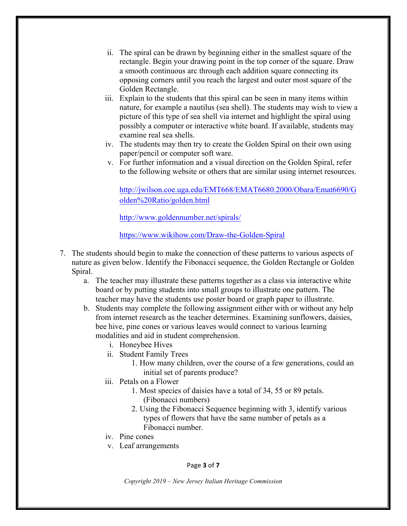- ii. The spiral can be drawn by beginning either in the smallest square of the rectangle. Begin your drawing point in the top corner of the square. Draw a smooth continuous arc through each addition square connecting its opposing corners until you reach the largest and outer most square of the Golden Rectangle.
- iii. Explain to the students that this spiral can be seen in many items within nature, for example a nautilus (sea shell). The students may wish to view a picture of this type of sea shell via internet and highlight the spiral using possibly a computer or interactive white board. If available, students may examine real sea shells.
- iv. The students may then try to create the Golden Spiral on their own using paper/pencil or computer soft ware.
- v. For further information and a visual direction on the Golden Spiral, refer to the following website or others that are similar using internet resources.

http://jwilson.coe.uga.edu/EMT668/EMAT6680.2000/Obara/Emat6690/G olden%20Ratio/golden.html

http://www.goldennumber.net/spirals/

https://www.wikihow.com/Draw-the-Golden-Spiral

- 7. The students should begin to make the connection of these patterns to various aspects of nature as given below. Identify the Fibonacci sequence, the Golden Rectangle or Golden Spiral.
	- a. The teacher may illustrate these patterns together as a class via interactive white board or by putting students into small groups to illustrate one pattern. The teacher may have the students use poster board or graph paper to illustrate.
	- b. Students may complete the following assignment either with or without any help from internet research as the teacher determines. Examining sunflowers, daisies, bee hive, pine cones or various leaves would connect to various learning modalities and aid in student comprehension.
		- i. Honeybee Hives
		- ii. Student Family Trees
			- 1. How many children, over the course of a few generations, could an initial set of parents produce?
		- iii. Petals on a Flower
			- 1. Most species of daisies have a total of 34, 55 or 89 petals. (Fibonacci numbers)
			- 2. Using the Fibonacci Sequence beginning with 3, identify various types of flowers that have the same number of petals as a Fibonacci number.
		- iv. Pine cones
		- v. Leaf arrangements

Page **3** of **7**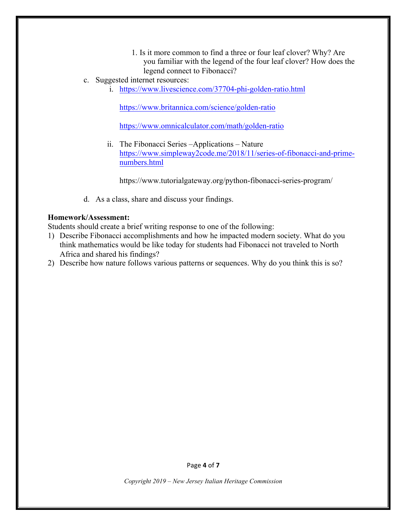- 1. Is it more common to find a three or four leaf clover? Why? Are you familiar with the legend of the four leaf clover? How does the legend connect to Fibonacci?
- c. Suggested internet resources:
	- i. https://www.livescience.com/37704-phi-golden-ratio.html

https://www.britannica.com/science/golden-ratio

https://www.omnicalculator.com/math/golden-ratio

ii. The Fibonacci Series –Applications – Nature https://www.simpleway2code.me/2018/11/series-of-fibonacci-and-primenumbers.html

https://www.tutorialgateway.org/python-fibonacci-series-program/

d. As a class, share and discuss your findings.

#### **Homework/Assessment:**

Students should create a brief writing response to one of the following:

- 1) Describe Fibonacci accomplishments and how he impacted modern society. What do you think mathematics would be like today for students had Fibonacci not traveled to North Africa and shared his findings?
- 2) Describe how nature follows various patterns or sequences. Why do you think this is so?

Page **4** of **7**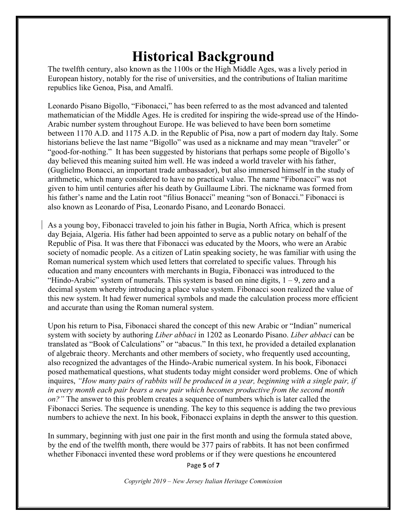# **Historical Background**

The twelfth century, also known as the 1100s or the High Middle Ages, was a lively period in European history, notably for the rise of universities, and the contributions of Italian maritime republics like Genoa, Pisa, and Amalfi.

Leonardo Pisano Bigollo, "Fibonacci," has been referred to as the most advanced and talented mathematician of the Middle Ages. He is credited for inspiring the wide-spread use of the Hindo-Arabic number system throughout Europe. He was believed to have been born sometime between 1170 A.D. and 1175 A.D. in the Republic of Pisa, now a part of modern day Italy. Some historians believe the last name "Bigollo" was used as a nickname and may mean "traveler" or "good-for-nothing." It has been suggested by historians that perhaps some people of Bigollo's day believed this meaning suited him well. He was indeed a world traveler with his father, (Guglielmo Bonacci, an important trade ambassador), but also immersed himself in the study of arithmetic, which many considered to have no practical value. The name "Fibonacci" was not given to him until centuries after his death by Guillaume Libri. The nickname was formed from his father's name and the Latin root "filius Bonacci" meaning "son of Bonacci." Fibonacci is also known as Leonardo of Pisa, Leonardo Pisano, and Leonardo Bonacci.

As a young boy, Fibonacci traveled to join his father in Bugia, North Africa, which is present day Bejaia, Algeria. His father had been appointed to serve as a public notary on behalf of the Republic of Pisa. It was there that Fibonacci was educated by the Moors, who were an Arabic society of nomadic people. As a citizen of Latin speaking society, he was familiar with using the Roman numerical system which used letters that correlated to specific values. Through his education and many encounters with merchants in Bugia, Fibonacci was introduced to the "Hindo-Arabic" system of numerals. This system is based on nine digits,  $1 - 9$ , zero and a decimal system whereby introducing a place value system. Fibonacci soon realized the value of this new system. It had fewer numerical symbols and made the calculation process more efficient and accurate than using the Roman numeral system.

Upon his return to Pisa, Fibonacci shared the concept of this new Arabic or "Indian" numerical system with society by authoring *Liber abbaci* in 1202 as Leonardo Pisano. *Liber abbaci* can be translated as "Book of Calculations" or "abacus." In this text, he provided a detailed explanation of algebraic theory. Merchants and other members of society, who frequently used accounting, also recognized the advantages of the Hindo-Arabic numerical system. In his book, Fibonacci posed mathematical questions, what students today might consider word problems. One of which inquires, *"How many pairs of rabbits will be produced in a year, beginning with a single pair, if in every month each pair bears a new pair which becomes productive from the second month on?"* The answer to this problem creates a sequence of numbers which is later called the Fibonacci Series. The sequence is unending. The key to this sequence is adding the two previous numbers to achieve the next. In his book, Fibonacci explains in depth the answer to this question.

In summary, beginning with just one pair in the first month and using the formula stated above, by the end of the twelfth month, there would be 377 pairs of rabbits. It has not been confirmed whether Fibonacci invented these word problems or if they were questions he encountered

Page **5** of **7**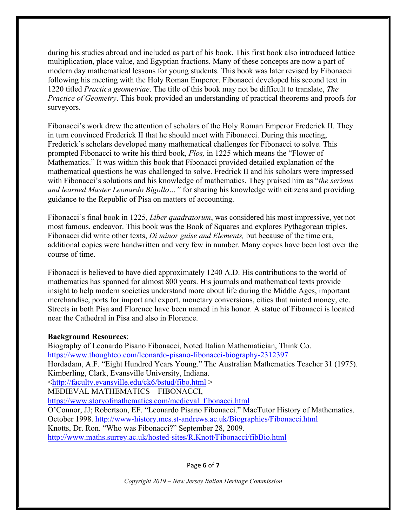during his studies abroad and included as part of his book. This first book also introduced lattice multiplication, place value, and Egyptian fractions. Many of these concepts are now a part of modern day mathematical lessons for young students. This book was later revised by Fibonacci following his meeting with the Holy Roman Emperor. Fibonacci developed his second text in 1220 titled *Practica geometriae*. The title of this book may not be difficult to translate, *The Practice of Geometry*. This book provided an understanding of practical theorems and proofs for surveyors.

Fibonacci's work drew the attention of scholars of the Holy Roman Emperor Frederick II. They in turn convinced Frederick II that he should meet with Fibonacci. During this meeting, Frederick's scholars developed many mathematical challenges for Fibonacci to solve. This prompted Fibonacci to write his third book, *Flos,* in 1225 which means the "Flower of Mathematics." It was within this book that Fibonacci provided detailed explanation of the mathematical questions he was challenged to solve. Fredrick II and his scholars were impressed with Fibonacci's solutions and his knowledge of mathematics. They praised him as "*the serious and learned Master Leonardo Bigollo…"* for sharing his knowledge with citizens and providing guidance to the Republic of Pisa on matters of accounting.

Fibonacci's final book in 1225, *Liber quadratorum*, was considered his most impressive, yet not most famous, endeavor. This book was the Book of Squares and explores Pythagorean triples. Fibonacci did write other texts, *Di minor guise and Elements,* but because of the time era, additional copies were handwritten and very few in number. Many copies have been lost over the course of time.

Fibonacci is believed to have died approximately 1240 A.D. His contributions to the world of mathematics has spanned for almost 800 years. His journals and mathematical texts provide insight to help modern societies understand more about life during the Middle Ages, important merchandise, ports for import and export, monetary conversions, cities that minted money, etc. Streets in both Pisa and Florence have been named in his honor. A statue of Fibonacci is located near the Cathedral in Pisa and also in Florence.

#### **Background Resources**:

Biography of Leonardo Pisano Fibonacci, Noted Italian Mathematician, Think Co. https://www.thoughtco.com/leonardo-pisano-fibonacci-biography-2312397 Hordadam, A.F. "Eight Hundred Years Young." The Australian Mathematics Teacher 31 (1975). Kimberling, Clark, Evansville University, Indiana. <http://faculty.evansville.edu/ck6/bstud/fibo.html > MEDIEVAL MATHEMATICS – FIBONACCI, https://www.storyofmathematics.com/medieval\_fibonacci.html O'Connor, JJ; Robertson, EF. "Leonardo Pisano Fibonacci." MacTutor History of Mathematics. October 1998. http://www-history.mcs.st-andrews.ac.uk/Biographies/Fibonacci.html Knotts, Dr. Ron. "Who was Fibonacci?" September 28, 2009. http://www.maths.surrey.ac.uk/hosted-sites/R.Knott/Fibonacci/fibBio.html

Page **6** of **7**